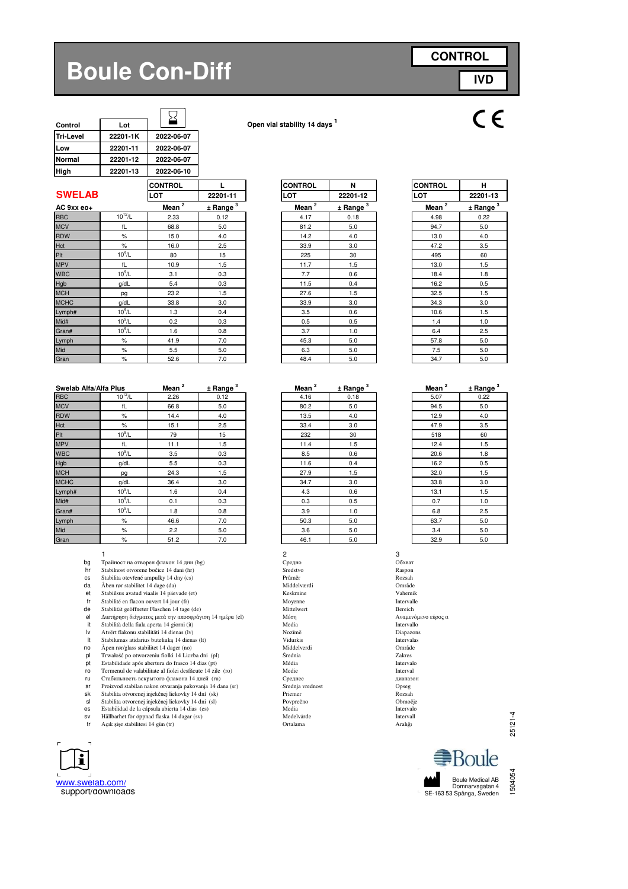## **Boule Con-Diff**



| Control          | Lot      |            |
|------------------|----------|------------|
| <b>Tri-Level</b> | 22201-1K | 2022-06-07 |
| Low              | 22201-11 | 2022-06-07 |
| <b>Normal</b>    | 22201-12 | 2022-06-07 |
| High             | 22201-13 | 2022-06-10 |
|                  |          |            |

**Control Lot Open vial stability 14 days <sup>1</sup>**

|               |              | <b>CONTROL</b>    |               | <b>CONTROL</b> | N                      | <b>CONTROL</b> | н        |
|---------------|--------------|-------------------|---------------|----------------|------------------------|----------------|----------|
| <b>SWELAB</b> |              | LOT               | 22201-11      | LOT            | 22201-12               | LOT            | 22201-13 |
| AC 9xx eo+    |              | Mean <sup>2</sup> | $±$ Range $3$ | Mean $^2$      | $±$ Range <sup>3</sup> | Mean $2$       | ± Range  |
| <b>RBC</b>    | $10^{12}$ /L | 2.33              | 0.12          | 4.17           | 0.18                   | 4.98           | 0.22     |
| <b>MCV</b>    | fL           | 68.8              | 5.0           | 81.2           | 5.0                    | 94.7           | 5.0      |
| <b>RDW</b>    | $\%$         | 15.0              | 4.0           | 14.2           | 4.0                    | 13.0           | 4.0      |
| Hct           | $\%$         | 16.0              | 2.5           | 33.9           | 3.0                    | 47.2           | 3.5      |
| Plt           | $10^9$ /L    | 80                | 15            | 225            | 30                     | 495            | 60       |
| <b>MPV</b>    | fL           | 10.9              | 1.5           | 11.7           | 1.5                    | 13.0           | 1.5      |
| <b>WBC</b>    | $10^9$ /L    | 3.1               | 0.3           | 7.7            | 0.6                    | 18.4           | 1.8      |
| Hgb           | g/dL         | 5.4               | 0.3           | 11.5           | 0.4                    | 16.2           | 0.5      |
| <b>MCH</b>    | pg           | 23.2              | 1.5           | 27.6           | 1.5                    | 32.5           | 1.5      |
| <b>MCHC</b>   | g/dL         | 33.8              | 3.0           | 33.9           | 3.0                    | 34.3           | 3.0      |
| Lymph#        | $10^9$ /L    | 1.3               | 0.4           | 3.5            | 0.6                    | 10.6           | 1.5      |
| Mid#          | $10^9$ /L    | 0.2               | 0.3           | 0.5            | 0.5                    | 1.4            | 1.0      |
| Gran#         | $10^9$ /L    | 1.6               | 0.8           | 3.7            | 1.0                    | 6.4            | 2.5      |
| Lymph         | $\%$         | 41.9              | 7.0           | 45.3           | 5.0                    | 57.8           | 5.0      |
| Mid           | $\%$         | 5.5               | 5.0           | 6.3            | 5.0                    | 7.5            | 5.0      |
| Gran          | $\%$         | 52.6              | 7.0           | 48.4           | 5.0                    | 34.7           | 5.0      |

| Swelab Alfa/Alfa Plus |             | Mean $^2$ | $±$ Range $3$ | Mean <sup>2</sup> | $±$ Range $3$ | Mean $^2$ | ± Rang  |
|-----------------------|-------------|-----------|---------------|-------------------|---------------|-----------|---------|
| <b>RBC</b>            | $10^{12}/L$ | 2.26      | 0.12          | 4.16              | 0.18          | 5.07      | 0.22    |
| <b>MCV</b>            | fL          | 66.8      | 5.0           | 80.2              | 5.0           | 94.5      | 5.0     |
| <b>RDW</b>            | %           | 14.4      | 4.0           | 13.5              | 4.0           | 12.9      | 4.0     |
| Hct                   | %           | 15.1      | 2.5           | 33.4              | 3.0           | 47.9      | 3.5     |
| Plt                   | $10^9$ /L   | 79        | 15            | 232               | 30            | 518       | 60      |
| <b>MPV</b>            | fL          | 11.1      | 1.5           | 11.4              | 1.5           | 12.4      | 1.5     |
| <b>WBC</b>            | $10^9$ /L   | 3.5       | 0.3           | 8.5               | 0.6           | 20.6      | 1.8     |
| Hgb                   | g/dL        | 5.5       | 0.3           | 11.6              | 0.4           | 16.2      | 0.5     |
| <b>MCH</b>            | pg          | 24.3      | 1.5           | 27.9              | 1.5           | 32.0      | 1.5     |
| <b>MCHC</b>           | g/dL        | 36.4      | 3.0           | 34.7              | 3.0           | 33.8      | 3.0     |
| Lymph#                | $10^9$ /L   | 1.6       | 0.4           | 4.3               | 0.6           | 13.1      | 1.5     |
| Mid#                  | $10^9$ /L   | 0.1       | 0.3           | 0.3               | 0.5           | 0.7       | 1.0     |
| Gran#                 | $10^9$ /L   | 1.8       | 0.8           | 3.9               | 1.0           | 6.8       | 2.5     |
| Lymph                 | %           | 46.6      | 7.0           | 50.3              | 5.0           | 63.7      | 5.0     |
| Mid                   | %           | 2.2       | 5.0           | 3.6               | 5.0           | 3.4       | 5.0     |
| Gran                  | $\%$        | 51.2      | 7.0           | 46.1              | 5.0           | 32.9      | $5.0\,$ |

- 1  $\overline{\phantom{a}}$  3
- hr Stabilnost otvorene bočice 14 dani (hr)
- 
- da Åben rør stabilitet 14 dage (da) Middelværdi Område (dat Middelværdi Område i Område (dat Middelværdi Område<br>
et Stabiilsus avatud viaalis 14 päevade (et) Stabiilsus (dat Middelværdi Vahemik Vahemik
- 
- fr Stabilité en flacon ouvert 14 jour (fr) Moyenne Moyenne Intervalle
- de Stabilität geöffneter Flaschen 14 tage (de) Mittelwert Bereich
- el Διατήρηση δείγματος μετά την αποσφράγιση 14 ημέρα (el) Μέση <br>
el Διατήρηση δείγματος μετά την αποσφράγιση 14 ημέρα (el) Μέση <br>
it Stabilità della fiala aperta 14 giorni (it) Media Media Media Intervallo
- it Stabilità della fiala aperta 14 giorni (it) **Intervallo**<br>Iv Atvērt flakonu stabilitāti 14 dienas (lv) Nozīmē Nozīmē Diapazons
- 
- 
- no Åpen rør/glass stabilitet 14 dager (no) Middelverdi Område pl Trwałość po otworzeniu fiolki 14 Liczba dni (pl) Średnia Zakres
- pt Estabilidade após abertura do frasco 14 dias (pt) Média Média Intervalo (proposabilitate al fiolei desfăcute 14 zile (ro) Média Intervalo (proposabilitate al fiolei desfăcute 14 zile (ro) Médie (proposabilitate al fiole
- 
- ru Стабильность вскрытого флакона 14 дней (ru) Стабильность в скрытого флакона 14 дней (ru) Стабильность в скрытого флакона 14 дней (ru) Стабильность в скрытого флакона 14 дней (ru) Стабильность в скрытого флакона 14 дней
- sr Proizvod stabilan nakon otvaranja pakovanja 14 dana (sr) Srednja vrednost Opseg sk Stabilita otvorenej injekčnej liekovky 14 dní (sk) Priemer Rozsah
- 
- sl Stabilita otvorenej injekčnej liekovky 14 dni (sl) Povprečno Območje es Estabilidad de la cápsula abierta 14 dias (es) Media Intervalo
- sv Hållbarhet för öppnad flaska 14 dagar (sv) Medelvärde Intervall<br>Tr Açık şişe stabilitesi 14 gün (tr) Ortalama Ortalama Aralığı
- 



| 22201-11             | LOT               | 22201-12               | LOT               |
|----------------------|-------------------|------------------------|-------------------|
| ± Range <sup>3</sup> | Mean <sup>2</sup> | $±$ Range <sup>3</sup> | Mean <sup>2</sup> |
| 0.12                 | 4.17              | 0.18                   | 4.98              |
| 5.0                  | 81.2              | 5.0                    | 94.7              |
| 4.0                  | 14.2              | 4.0                    | 13.0              |
| 2.5                  | 33.9              | 3.0                    | 47.2              |
| 15                   | 225               | 30                     | 495               |
| 1.5                  | 11.7              | 1.5                    | 13.0              |
| 0.3                  | 7.7               | 0.6                    | 18.4              |
| 0.3                  | 11.5              | 0.4                    | 16.2              |
| 1.5                  | 27.6              | 1.5                    | 32.5              |
| 3.0                  | 33.9              | 3.0                    | 34.3              |
| 0.4                  | 3.5               | 0.6                    | 10.6              |
| 0.3                  | 0.5               | 0.5                    | 1.4               |
| 0.8                  | 3.7               | 1.0                    | 6.4               |
| 7.0                  | 45.3              | 5.0                    | 57.8              |
|                      |                   |                        |                   |

**CONTROL L CONTROL N CONTROL H**

| ± Range <sup>3</sup> | Mean <sup>2</sup> | $±$ Range $3$ | Mean <sup>2</sup> |
|----------------------|-------------------|---------------|-------------------|
| 0.12                 | 4.16              | 0.18          | 5.07              |
| 5.0                  | 80.2              | 5.0           | 94.5              |
| 4.0                  | 13.5              | 4.0           | 12.9              |
| 2.5                  | 33.4              | 3.0           | 47.9              |
| 15                   | 232               | 30            | 518               |
| 1.5                  | 11.4              | 1.5           | 12.4              |
| 0.3                  | 8.5               | 0.6           | 20.6              |
| 0.3                  | 11.6              | 0.4           | 16.2              |
| 1.5                  | 27.9              | 1.5           | 32.0              |
| 3.0                  | 34.7              | 3.0           | 33.8              |
| 0.4                  | 4.3               | 0.6           | 13.1              |
| 0.3                  | 0.3               | 0.5           | 0.7               |
| 0.8                  | 3.9               | 1.0           | 6.8               |
| 7.0                  | 50.3              | 5.0           | 63.7              |
| 5.0                  | 3.6               | 5.0           | 3.4               |
| 70                   | $\overline{AB}$ 1 | 50            | 300               |

| bq        | Трайност на отворен флакон 14 дни (bg)                    | Средно           | Обхват     |
|-----------|-----------------------------------------------------------|------------------|------------|
| hr        | Stabilnost otvorene bočice 14 dani (hr)                   | Sredstvo         | Raspon     |
| <b>CS</b> | Stabilita otevřené ampulky 14 dny (cs)                    | Průměr           | Rozsah     |
| da        | Åben rør stabilitet 14 dage (da)                          | Middelværdi      | Område     |
| et        | Stabiilsus avatud viaalis 14 päevade (et)                 | Keskmine         | Vahemik    |
| fr        | Stabilité en flacon ouvert 14 jour (fr)                   | Moyenne          | Intervalle |
| de        | Stabilität geöffneter Flaschen 14 tage (de)               | Mittelwert       | Bereich    |
| el        | Διατήρηση δείγματος μετά την αποσφράγιση 14 ημέρα (el)    | Μέση             | Αναμενόμ   |
| it        | Stabilità della fiala aperta 14 giorni (it)               | Media            | Intervallo |
| lv        | Atvērt flakonu stabilitāti 14 dienas (lv)                 | Nozīmē           | Diapazon   |
| It        | Stabilumas atidarius buteliuką 14 dienas (lt)             | Vidurkis         | Intervalas |
| no        | Åpen rør/glass stabilitet 14 dager (no)                   | Middelverdi      | Område     |
| pl        | Trwałość po otworzeniu fiolki 14 Liczba dni (pl)          | Srednia          | Zakres     |
| pt        | Estabilidade após abertura do frasco 14 dias (pt)         | Média            | Intervalo  |
| ro        | Termenul de valabilitate al fiolei desfăcute 14 zile (ro) | Medie            | Interval   |
| ru        | Стабильность вскрытого флакона 14 дней (ru)               | Среднее          | лиапазон   |
| sr        | Proizvod stabilan nakon otvaranja pakovanja 14 dana (sr)  | Srednja vrednost | Opseg      |
| sk        | Stabilita otvorenej injekčnej liekovky 14 dní (sk)        | Priemer          | Rozsah     |
| sl        | Stabilita otvorenej injekčnej liekovky 14 dni (sl)        | Povprečno        | Območje    |
| es        | Estabilidad de la cápsula abierta 14 dias (es)            | Media            | Intervalo  |
| <b>SV</b> | Hållbarhet för öppnad flaska 14 dagar (sv)                | Medelvärde       | Intervall  |
| tr        | Acık sise stabilitesi 14 gün (tr)                         | Ortalama         | Aralığı    |
|           |                                                           |                  |            |

| <b>CONTROL</b>    | н                            |  |  |
|-------------------|------------------------------|--|--|
| LOT               | 22201-13                     |  |  |
| Mean <sup>2</sup> | <u>± Rang</u> e <sup>3</sup> |  |  |
| 4.98              | 0.22                         |  |  |
| 94.7              | 5.0                          |  |  |
| 13.0              | 4.0                          |  |  |
| 47.2              | 3.5                          |  |  |
| 495               | 60                           |  |  |
| 13.0              | 1.5                          |  |  |
| 18.4              | 1.8                          |  |  |
| 16.2              | 0.5                          |  |  |
| 32.5              | 1.5                          |  |  |
| 34.3              | 3.0                          |  |  |
| 10.6              | 1.5                          |  |  |
| 1.4               | 1.0                          |  |  |
| 6.4               | 2.5                          |  |  |
| 57.8              | 5.0                          |  |  |
| 7.5               | 5.0                          |  |  |
| 34.7              | 5.0                          |  |  |

| $\mathbf{z}$<br>Mean | <u>± Range</u> <sup>3</sup> |
|----------------------|-----------------------------|
| 5.07                 | 0.22                        |
| 94.5                 | 5.0                         |
| 12.9                 | 4.0                         |
| 47.9                 | 3.5                         |
| 518                  | 60                          |
| 12.4                 | 1.5                         |
| 20.6                 | 1.8                         |
| 16.2                 | 0.5                         |
| 32.0                 | 1.5                         |
| 33.8                 | 3.0                         |
| 13.1                 | 1.5                         |
| 0.7                  | 1.0                         |
| 6.8                  | 2.5                         |
| 63.7                 | 5.0                         |
| 3.4                  | 5.0                         |
| 32.9                 | 5.0                         |

25121-4